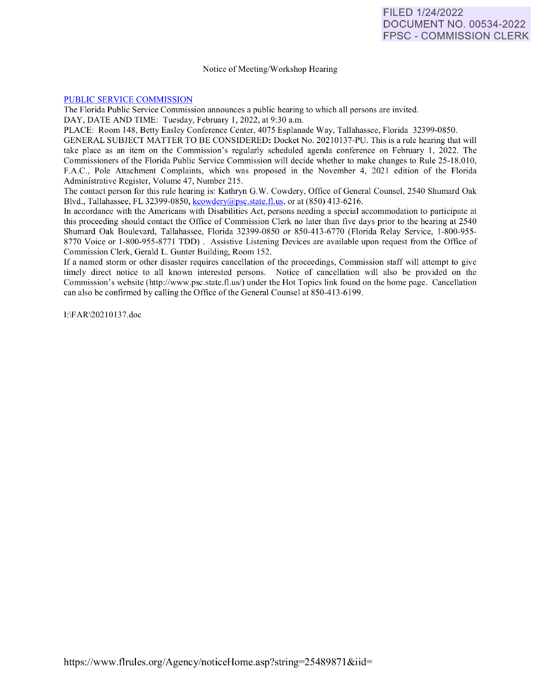## Notice of Meeting/Workshop Hearing

## [PUBLIC SERVICE COMMISSION](https://www.flrules.org/gateway/department.asp?id=25)

The Florida Public Service Commission announces a public hearing to which all persons are invited.

DAY, DATE AND TIME: Tuesday, February 1, 2022, at 9:30 a.m.

PLACE: Room 148, Betty Easley Conference Center, 4075 Esplanade Way, Tallahassee, Florida 32399-0850.

GENERAL SUBJECT MATTER TO BE CONSIDERED: Docket No. 20210137-PU. This is a rule hearing that will take place as an item on the Commission's regularly scheduled agenda conference on February 1, 2022. The Commissioners of the Florida Public Service Commission will decide whether to make changes to Rule 25-18.010, F.A.C., Pole Attachment Complaints, which was proposed in the November 4, 2021 edition of the Florida Administrative Register, Volume 47, Number 215.

The contact person for this rule hearing is: Kathryn G.W. Cowdery, Office of General Counsel, 2540 Shumard Oak Blvd., Tallahassee, FL 32399-0850, [kcowdery@psc.state.fl.us,](mailto:kcowdery@psc.state.fl.us) or at (850) 413-6216.

In accordance with the Americans with Disabilities Act, persons needing a special accommodation to participate at this proceeding should contact the Office of Commission Clerk no later than five days prior to the hearing at 2540 Shumard Oak Boulevard, Tallahassee, Florida 32399-0850 or 850-413-6770 (Florida Relay Service, 1-800-955-8770 Voice or 1-800-955-8771 TDD). Assistive Listening Devices are available upon request from the Office of Commission Clerk, Gerald L. Gunter Building, Room 152.

If a named storm or other disaster requires cancellation of the proceedings, Commission staff will attempt to give timely direct notice to all known interested persons. Notice of cancellation will also be provided on the Commission's website (http://www.psc.state.fl.us/) under the Hot Topics link found on the home page. Cancellation can also be confirmed by calling the Office of the General Counsel at 850-413-6199.

1:\F AR\202 10 137.doc